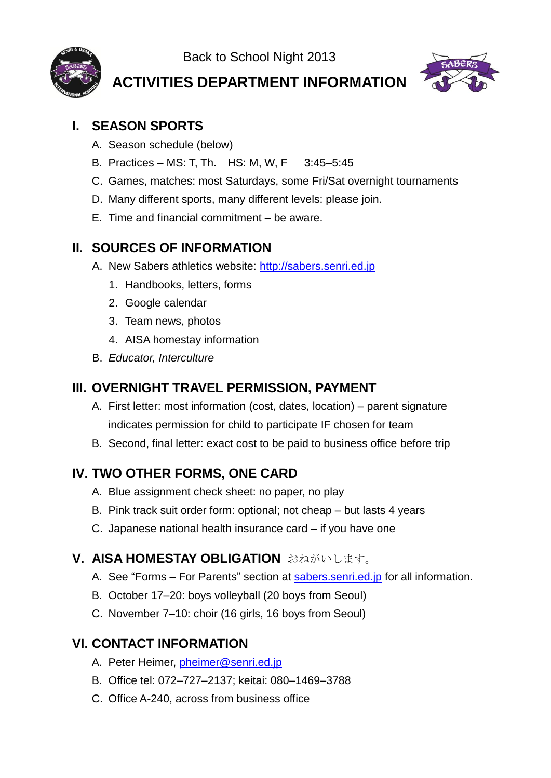Back to School Night 2013



**ACTIVITIES DEPARTMENT INFORMATION**



# **I. SEASON SPORTS**

- A. Season schedule (below)
- B. Practices MS: T, Th. HS: M, W, F 3:45–5:45
- C. Games, matches: most Saturdays, some Fri/Sat overnight tournaments
- D. Many different sports, many different levels: please join.
- E. Time and financial commitment be aware.

### **II. SOURCES OF INFORMATION**

- A. New Sabers athletics website: [http://sabers.senri.ed.jp](http://sabers.senri.ed.jp/)
	- 1. Handbooks, letters, forms
	- 2. Google calendar
	- 3. Team news, photos
	- 4. AISA homestay information
- B. *Educator, Interculture*

#### **III. OVERNIGHT TRAVEL PERMISSION, PAYMENT**

- A. First letter: most information (cost, dates, location) parent signature indicates permission for child to participate IF chosen for team
- B. Second, final letter: exact cost to be paid to business office before trip

## **IV. TWO OTHER FORMS, ONE CARD**

- A. Blue assignment check sheet: no paper, no play
- B. Pink track suit order form: optional; not cheap but lasts 4 years
- C. Japanese national health insurance card if you have one

## **V. AISA HOMESTAY OBLIGATION** おねがいします。

- A. See "Forms For Parents" section at [sabers.senri.ed.jp](http://sabers.senri.ed.jp/index.html) for all information.
- B. October 17–20: boys volleyball (20 boys from Seoul)
- C. November 7–10: choir (16 girls, 16 boys from Seoul)

## **VI. CONTACT INFORMATION**

- A. Peter Heimer, [pheimer@senri.ed.jp](mailto:pheimer@senri.ed.jp)
- B. Office tel: 072–727–2137; keitai: 080–1469–3788
- C. Office A-240, across from business office